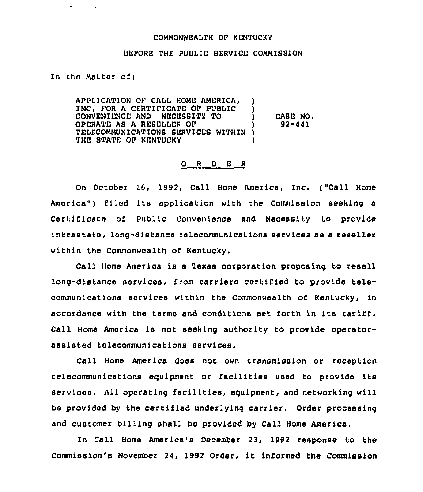## COMMONWEALTH OF KENTUCKY

## BEFORE THE PUBLIC SERVICE COMMISSION

In the Matter of:

 $\mathbf{r}$ 

APPLICAT10N OF CALL HOME AMERICA, ) INC, FOR <sup>A</sup> CERTIFICATE OF PUBLIC ) CONVENIENCE AND NECEBSITY TO ) OPERATE AS <sup>A</sup> RESELLER OF ) TELECOMMUNICATIONS SERVICES WITHIN ) THE STATE OF KENTUCKY CASE NO. 92-441

## 0 <sup>R</sup> <sup>D</sup> E <sup>R</sup>

On Ootober 16, 1992, Call Home America, Inc. ("Call Home America") filed its application with the Commission seeking a Certificate of Public Convenience and Necessity to provide intrastate, long-distance telecommunications services as a reseller within the Commonwealth of Kentucky.

Call Home America is a Texas corporation proposing to resell long-distance services, from carriers certified to provide telecommunications services within the Commonwealth of Kentucky, in accordance with the terms and conditions set forth in its tariff. Call Home America is not seeking authority to provide operatorassisted telecommunications services.

Call Home America does not own transmission or reception telecommunications equipment or facilities used to provide its services. All operating facilities, equipment, and networking will be provided by the certified underlying carrier. Order processing and customer billing shall be provided by Call Home America.

In Call Home America's December 23, 1992 response to the Commission's November 24, 1992 Order, it informed the Commission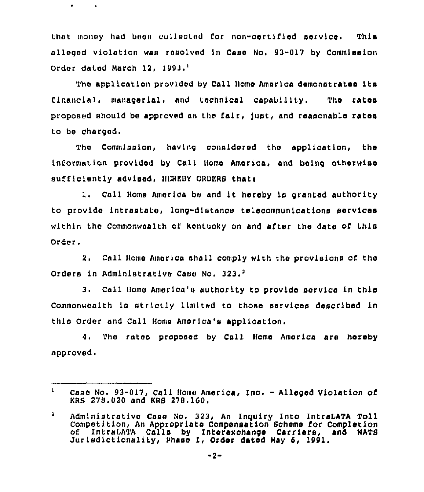that money had been collected for non-certified service. This alleged violation was resolved in Case No, 93-017 by Commission Order dated March 12, 1993.<sup>1</sup>

 $\bullet$  .

 $\sim 10$ 

The application provided by Call Home America demonatratea its flnanclal, managerial, and technical capability. The rates proposed should be approved as the fair, just, and reasonable rates to be charged.

The Commission, having considered the application, the information provided by Call Home America, and being otherwise sufficiently advised, HEREBY ORDERS that:

1. Call Home America be and it hereby is granted authority to provide intrastate, long-distance telecommunioations services within the Commonwealth of Kentucky on and after the date of this Order.

2. Call Home America shall comply with the provisions of the Orders in Administrative Case No. 323.<sup>2</sup>

Call Home America'a authority to provide service in this Commonwealth is strictly limited to those services described in this Order and Call Home America's application.

<sup>4</sup> <sup>~</sup> The rates proposed by Call Home America are hereby approved.

 $\mathbf{1}$ Case No. 93-017, Call Home America, Inc. - Alleged Violation of KRS 278,020 and KRB 278. 160.

 $\mathbf{z}$ Administrative Case No. 323, An Inquiry Into IntraIATA Toll Competition, An Appropriate Compensation Scheme for Completion of IntraLATA Calls by Interexchange Carriers, and WATS Jurledictionality, Phase I, Order dated May 6, 1991.